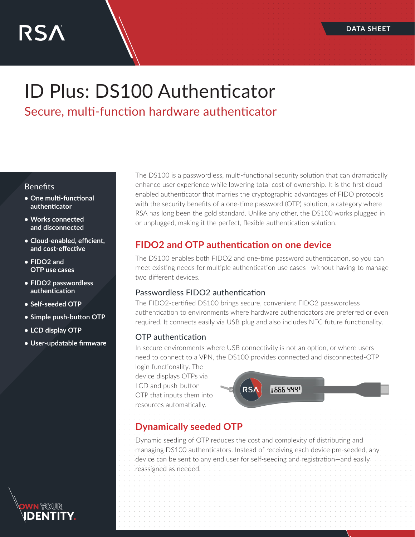# ID Plus: DS100 Authenticator

Secure, multi-function hardware authenticator

#### **Benefits**

- **• One multi-functional authenticator**
- **• Works connected and disconnected**
- **• Cloud-enabled, efficient, and cost-effective**
- **• FIDO2 and OTP use cases**
- **• FIDO2 passwordless authentication**
- **• Self-seeded OTP**
- **• Simple push-button OTP**
- **• LCD display OTP**
- **• User-updatable firmware**

The DS100 is a passwordless, multi-functional security solution that can dramatically enhance user experience while lowering total cost of ownership. It is the first cloudenabled authenticator that marries the cryptographic advantages of FIDO protocols with the security benefits of a one-time password (OTP) solution, a category where RSA has long been the gold standard. Unlike any other, the DS100 works plugged in or unplugged, making it the perfect, flexible authentication solution.

# **FIDO2 and OTP authentication on one device**

The DS100 enables both FIDO2 and one-time password authentication, so you can meet existing needs for multiple authentication use cases—without having to manage two different devices.

#### Passwordless FIDO2 authentication

The FIDO2-certified DS100 brings secure, convenient FIDO2 passwordless authentication to environments where hardware authenticators are preferred or even required. It connects easily via USB plug and also includes NFC future functionality.

#### OTP authentication

In secure environments where USB connectivity is not an option, or where users need to connect to a VPN, the DS100 provides connected and disconnected-OTP

login functionality. The device displays OTPs via LCD and push-button OTP that inputs them into resources automatically.



# **Dynamically seeded OTP**